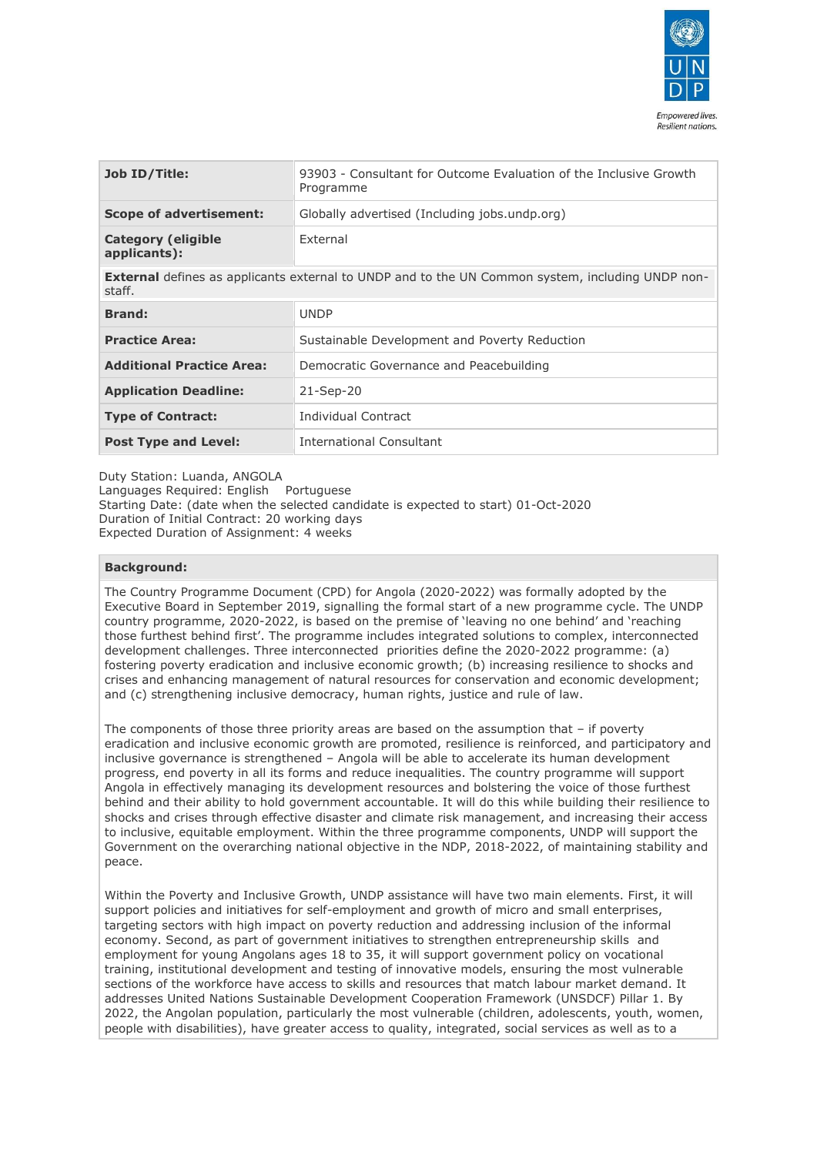

| Job ID/Title:                             | 93903 - Consultant for Outcome Evaluation of the Inclusive Growth<br>Programme |
|-------------------------------------------|--------------------------------------------------------------------------------|
| <b>Scope of advertisement:</b>            | Globally advertised (Including jobs.undp.org)                                  |
| <b>Category (eligible</b><br>applicants): | External                                                                       |

**External** defines as applicants external to UNDP and to the UN Common system, including UNDP nonstaff.

| <b>Brand:</b>                    | <b>UNDP</b>                                   |
|----------------------------------|-----------------------------------------------|
| <b>Practice Area:</b>            | Sustainable Development and Poverty Reduction |
| <b>Additional Practice Area:</b> | Democratic Governance and Peacebuilding       |
| <b>Application Deadline:</b>     | $21-$ Sep $-20$                               |
| <b>Type of Contract:</b>         | Individual Contract                           |
| <b>Post Type and Level:</b>      | International Consultant                      |

Duty Station: Luanda, ANGOLA Languages Required: English Portuguese Starting Date: (date when the selected candidate is expected to start) 01-Oct-2020 Duration of Initial Contract: 20 working days Expected Duration of Assignment: 4 weeks

### **Background:**

The Country Programme Document (CPD) for Angola (2020-2022) was formally adopted by the Executive Board in September 2019, signalling the formal start of a new programme cycle. The UNDP country programme, 2020-2022, is based on the premise of 'leaving no one behind' and 'reaching those furthest behind first'. The programme includes integrated solutions to complex, interconnected development challenges. Three interconnected priorities define the 2020-2022 programme: (a) fostering poverty eradication and inclusive economic growth; (b) increasing resilience to shocks and crises and enhancing management of natural resources for conservation and economic development; and (c) strengthening inclusive democracy, human rights, justice and rule of law.

The components of those three priority areas are based on the assumption that – if poverty eradication and inclusive economic growth are promoted, resilience is reinforced, and participatory and inclusive governance is strengthened – Angola will be able to accelerate its human development progress, end poverty in all its forms and reduce inequalities. The country programme will support Angola in effectively managing its development resources and bolstering the voice of those furthest behind and their ability to hold government accountable. It will do this while building their resilience to shocks and crises through effective disaster and climate risk management, and increasing their access to inclusive, equitable employment. Within the three programme components, UNDP will support the Government on the overarching national objective in the NDP, 2018-2022, of maintaining stability and peace.

Within the Poverty and Inclusive Growth, UNDP assistance will have two main elements. First, it will support policies and initiatives for self-employment and growth of micro and small enterprises, targeting sectors with high impact on poverty reduction and addressing inclusion of the informal economy. Second, as part of government initiatives to strengthen entrepreneurship skills and employment for young Angolans ages 18 to 35, it will support government policy on vocational training, institutional development and testing of innovative models, ensuring the most vulnerable sections of the workforce have access to skills and resources that match labour market demand. It addresses United Nations Sustainable Development Cooperation Framework (UNSDCF) Pillar 1. By 2022, the Angolan population, particularly the most vulnerable (children, adolescents, youth, women, people with disabilities), have greater access to quality, integrated, social services as well as to a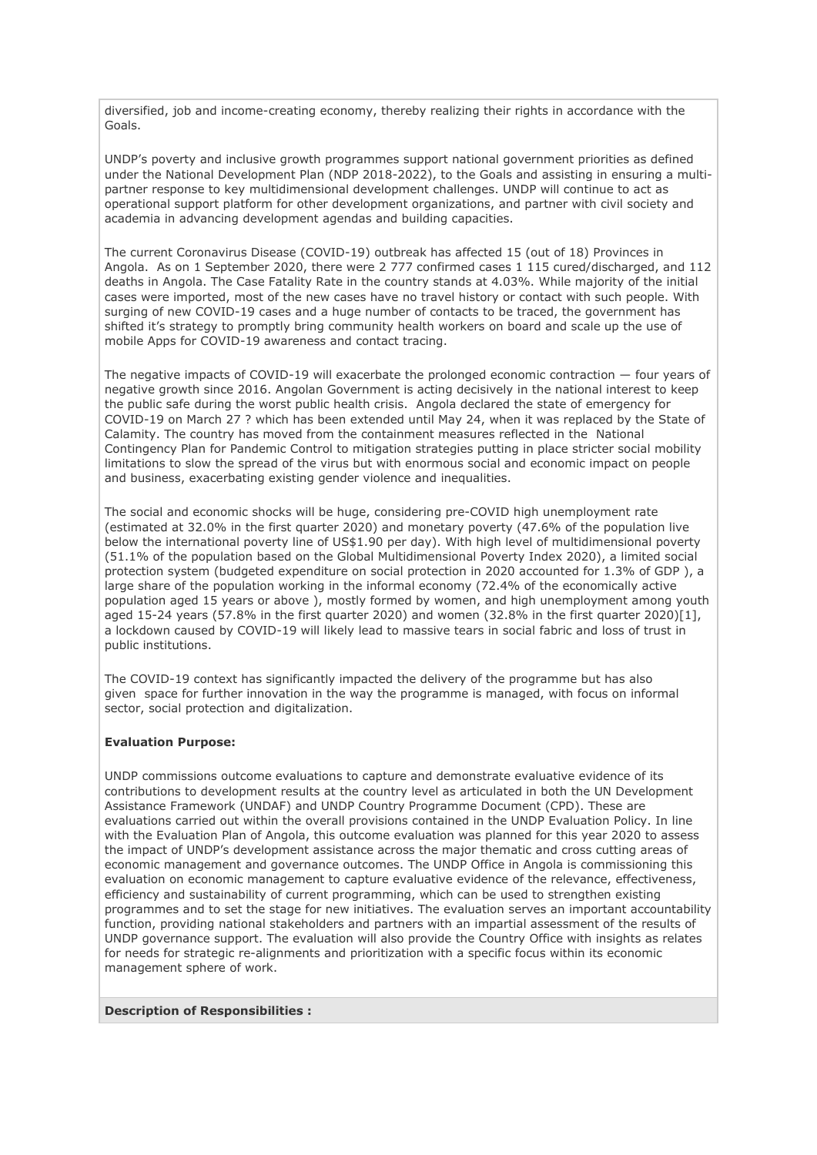diversified, job and income-creating economy, thereby realizing their rights in accordance with the Goals.

UNDP's poverty and inclusive growth programmes support national government priorities as defined under the National Development Plan (NDP 2018-2022), to the Goals and assisting in ensuring a multipartner response to key multidimensional development challenges. UNDP will continue to act as operational support platform for other development organizations, and partner with civil society and academia in advancing development agendas and building capacities.

The current Coronavirus Disease (COVID-19) outbreak has affected 15 (out of 18) Provinces in Angola. As on 1 September 2020, there were 2 777 confirmed cases 1 115 cured/discharged, and 112 deaths in Angola. The Case Fatality Rate in the country stands at 4.03%. While majority of the initial cases were imported, most of the new cases have no travel history or contact with such people. With surging of new COVID-19 cases and a huge number of contacts to be traced, the government has shifted it's strategy to promptly bring community health workers on board and scale up the use of mobile Apps for COVID-19 awareness and contact tracing.

The negative impacts of COVID-19 will exacerbate the prolonged economic contraction — four years of negative growth since 2016. Angolan Government is acting decisively in the national interest to keep the public safe during the worst public health crisis. Angola declared the state of emergency for COVID-19 on March 27 ? which has been extended until May 24, when it was replaced by the State of Calamity. The country has moved from the containment measures reflected in the National Contingency Plan for Pandemic Control to mitigation strategies putting in place stricter social mobility limitations to slow the spread of the virus but with enormous social and economic impact on people and business, exacerbating existing gender violence and inequalities.

The social and economic shocks will be huge, considering pre-COVID high unemployment rate (estimated at 32.0% in the first quarter 2020) and monetary poverty (47.6% of the population live below the international poverty line of US\$1.90 per day). With high level of multidimensional poverty (51.1% of the population based on the Global Multidimensional Poverty Index 2020), a limited social protection system (budgeted expenditure on social protection in 2020 accounted for 1.3% of GDP ), a large share of the population working in the informal economy (72.4% of the economically active population aged 15 years or above ), mostly formed by women, and high unemployment among youth aged 15-24 years (57.8% in the first quarter 2020) and women (32.8% in the first quarter 2020)[1], a lockdown caused by COVID-19 will likely lead to massive tears in social fabric and loss of trust in public institutions.

The COVID-19 context has significantly impacted the delivery of the programme but has also given space for further innovation in the way the programme is managed, with focus on informal sector, social protection and digitalization.

# **Evaluation Purpose:**

UNDP commissions outcome evaluations to capture and demonstrate evaluative evidence of its contributions to development results at the country level as articulated in both the UN Development Assistance Framework (UNDAF) and UNDP Country Programme Document (CPD). These are evaluations carried out within the overall provisions contained in the UNDP Evaluation Policy. In line with the Evaluation Plan of Angola, this outcome evaluation was planned for this year 2020 to assess the impact of UNDP's development assistance across the major thematic and cross cutting areas of economic management and governance outcomes. The UNDP Office in Angola is commissioning this evaluation on economic management to capture evaluative evidence of the relevance, effectiveness, efficiency and sustainability of current programming, which can be used to strengthen existing programmes and to set the stage for new initiatives. The evaluation serves an important accountability function, providing national stakeholders and partners with an impartial assessment of the results of UNDP governance support. The evaluation will also provide the Country Office with insights as relates for needs for strategic re-alignments and prioritization with a specific focus within its economic management sphere of work.

### **Description of Responsibilities :**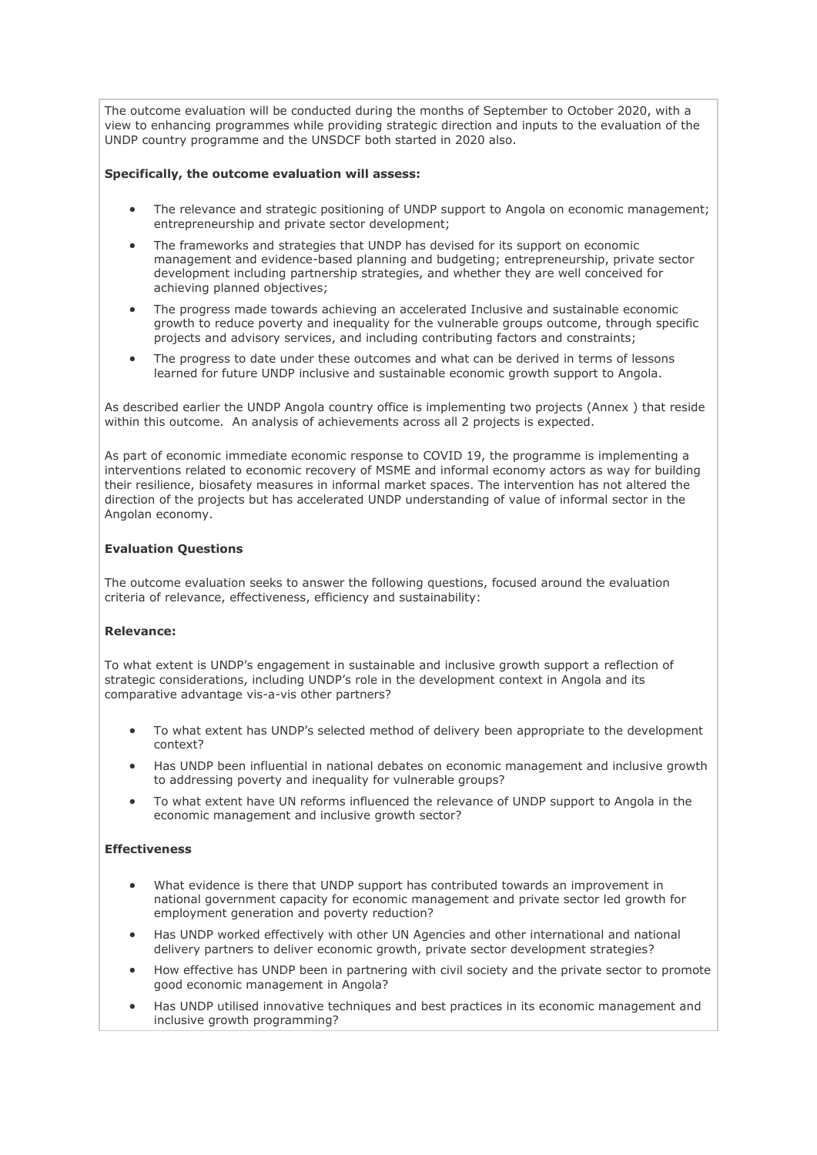The outcome evaluation will be conducted during the months of September to October 2020, with a view to enhancing programmes while providing strategic direction and inputs to the evaluation of the UNDP country programme and the UNSDCF both started in 2020 also.

### **Specifically, the outcome evaluation will assess:**

- The relevance and strategic positioning of UNDP support to Angola on economic management; entrepreneurship and private sector development;
- The frameworks and strategies that UNDP has devised for its support on economic management and evidence-based planning and budgeting; entrepreneurship, private sector development including partnership strategies, and whether they are well conceived for achieving planned objectives;
- The progress made towards achieving an accelerated Inclusive and sustainable economic growth to reduce poverty and inequality for the vulnerable groups outcome, through specific projects and advisory services, and including contributing factors and constraints;
- The progress to date under these outcomes and what can be derived in terms of lessons learned for future UNDP inclusive and sustainable economic growth support to Angola.

As described earlier the UNDP Angola country office is implementing two projects (Annex ) that reside within this outcome. An analysis of achievements across all 2 projects is expected.

As part of economic immediate economic response to COVID 19, the programme is implementing a interventions related to economic recovery of MSME and informal economy actors as way for building their resilience, biosafety measures in informal market spaces. The intervention has not altered the direction of the projects but has accelerated UNDP understanding of value of informal sector in the Angolan economy.

# **Evaluation Questions**

The outcome evaluation seeks to answer the following questions, focused around the evaluation criteria of relevance, effectiveness, efficiency and sustainability:

# **Relevance:**

To what extent is UNDP's engagement in sustainable and inclusive growth support a reflection of strategic considerations, including UNDP's role in the development context in Angola and its comparative advantage vis-a-vis other partners?

- To what extent has UNDP's selected method of delivery been appropriate to the development context?
- Has UNDP been influential in national debates on economic management and inclusive growth to addressing poverty and inequality for vulnerable groups?
- To what extent have UN reforms influenced the relevance of UNDP support to Angola in the economic management and inclusive growth sector?

# **Effectiveness**

- What evidence is there that UNDP support has contributed towards an improvement in national government capacity for economic management and private sector led growth for employment generation and poverty reduction?
- Has UNDP worked effectively with other UN Agencies and other international and national delivery partners to deliver economic growth, private sector development strategies?
- How effective has UNDP been in partnering with civil society and the private sector to promote good economic management in Angola?
- Has UNDP utilised innovative techniques and best practices in its economic management and inclusive growth programming?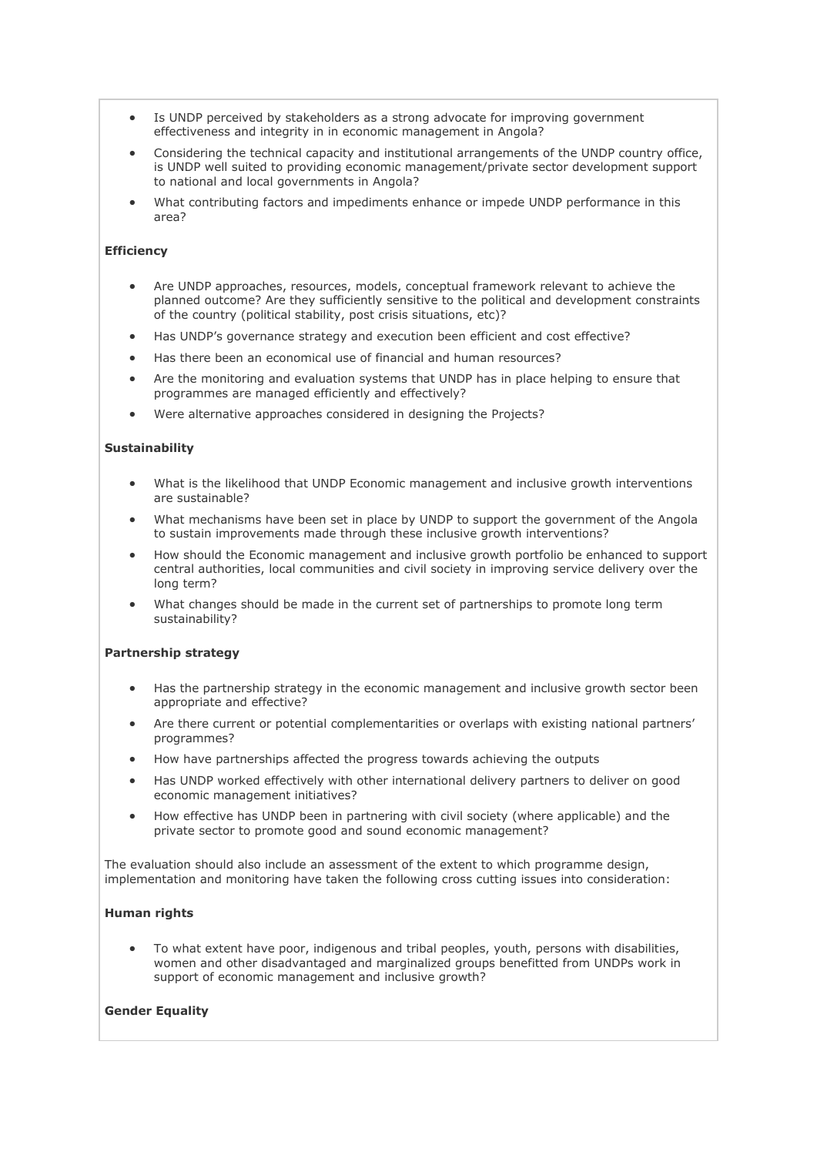- Is UNDP perceived by stakeholders as a strong advocate for improving government effectiveness and integrity in in economic management in Angola?
- Considering the technical capacity and institutional arrangements of the UNDP country office, is UNDP well suited to providing economic management/private sector development support to national and local governments in Angola?
- What contributing factors and impediments enhance or impede UNDP performance in this area?

### **Efficiency**

- Are UNDP approaches, resources, models, conceptual framework relevant to achieve the planned outcome? Are they sufficiently sensitive to the political and development constraints of the country (political stability, post crisis situations, etc)?
- Has UNDP's governance strategy and execution been efficient and cost effective?
- Has there been an economical use of financial and human resources?
- Are the monitoring and evaluation systems that UNDP has in place helping to ensure that programmes are managed efficiently and effectively?
- Were alternative approaches considered in designing the Projects?

# **Sustainability**

- What is the likelihood that UNDP Economic management and inclusive growth interventions are sustainable?
- What mechanisms have been set in place by UNDP to support the government of the Angola to sustain improvements made through these inclusive growth interventions?
- How should the Economic management and inclusive growth portfolio be enhanced to support central authorities, local communities and civil society in improving service delivery over the long term?
- What changes should be made in the current set of partnerships to promote long term sustainability?

### **Partnership strategy**

- Has the partnership strategy in the economic management and inclusive growth sector been appropriate and effective?
- Are there current or potential complementarities or overlaps with existing national partners' programmes?
- How have partnerships affected the progress towards achieving the outputs
- Has UNDP worked effectively with other international delivery partners to deliver on good economic management initiatives?
- How effective has UNDP been in partnering with civil society (where applicable) and the private sector to promote good and sound economic management?

The evaluation should also include an assessment of the extent to which programme design, implementation and monitoring have taken the following cross cutting issues into consideration:

# **Human rights**

• To what extent have poor, indigenous and tribal peoples, youth, persons with disabilities, women and other disadvantaged and marginalized groups benefitted from UNDPs work in support of economic management and inclusive growth?

# **Gender Equality**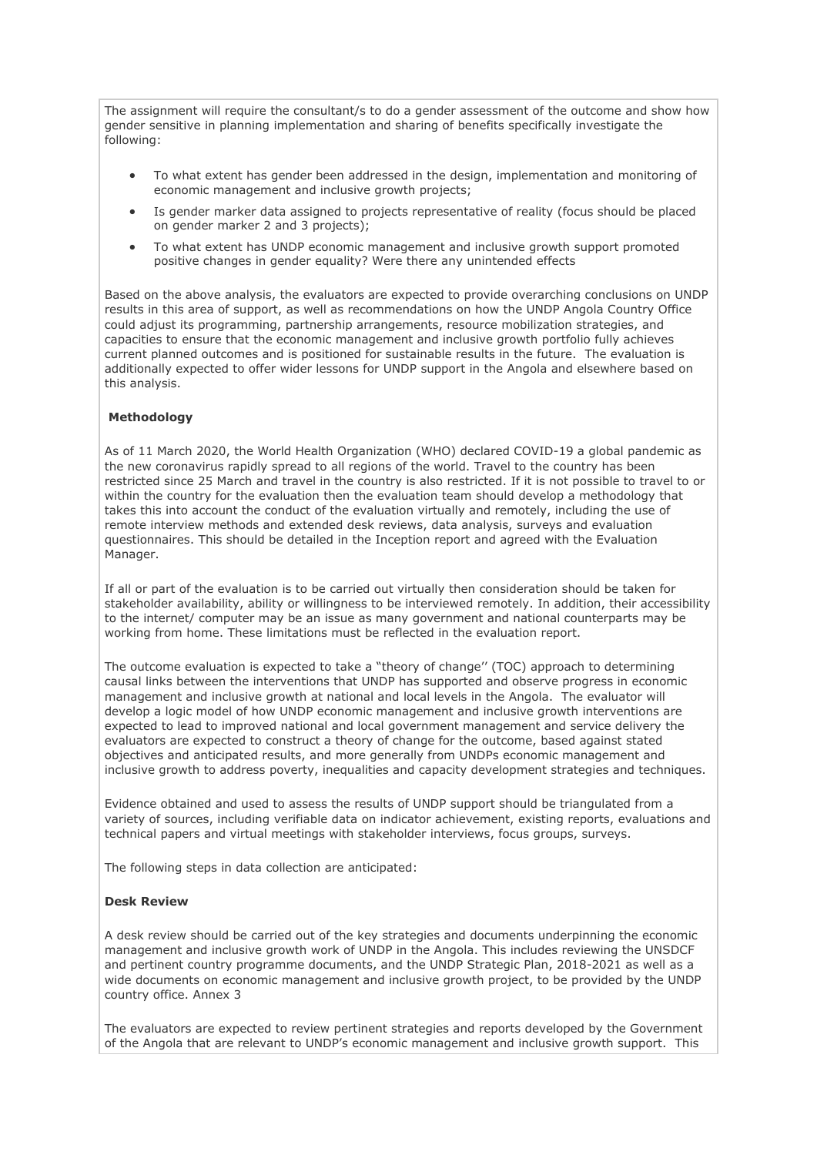The assignment will require the consultant/s to do a gender assessment of the outcome and show how gender sensitive in planning implementation and sharing of benefits specifically investigate the following:

- To what extent has gender been addressed in the design, implementation and monitoring of economic management and inclusive growth projects;
- Is gender marker data assigned to projects representative of reality (focus should be placed on gender marker 2 and 3 projects);
- To what extent has UNDP economic management and inclusive growth support promoted positive changes in gender equality? Were there any unintended effects

Based on the above analysis, the evaluators are expected to provide overarching conclusions on UNDP results in this area of support, as well as recommendations on how the UNDP Angola Country Office could adjust its programming, partnership arrangements, resource mobilization strategies, and capacities to ensure that the economic management and inclusive growth portfolio fully achieves current planned outcomes and is positioned for sustainable results in the future. The evaluation is additionally expected to offer wider lessons for UNDP support in the Angola and elsewhere based on this analysis.

# **Methodology**

As of 11 March 2020, the World Health Organization (WHO) declared COVID-19 a global pandemic as the new coronavirus rapidly spread to all regions of the world. Travel to the country has been restricted since 25 March and travel in the country is also restricted. If it is not possible to travel to or within the country for the evaluation then the evaluation team should develop a methodology that takes this into account the conduct of the evaluation virtually and remotely, including the use of remote interview methods and extended desk reviews, data analysis, surveys and evaluation questionnaires. This should be detailed in the Inception report and agreed with the Evaluation Manager.

If all or part of the evaluation is to be carried out virtually then consideration should be taken for stakeholder availability, ability or willingness to be interviewed remotely. In addition, their accessibility to the internet/ computer may be an issue as many government and national counterparts may be working from home. These limitations must be reflected in the evaluation report.

The outcome evaluation is expected to take a "theory of change'' (TOC) approach to determining causal links between the interventions that UNDP has supported and observe progress in economic management and inclusive growth at national and local levels in the Angola. The evaluator will develop a logic model of how UNDP economic management and inclusive growth interventions are expected to lead to improved national and local government management and service delivery the evaluators are expected to construct a theory of change for the outcome, based against stated objectives and anticipated results, and more generally from UNDPs economic management and inclusive growth to address poverty, inequalities and capacity development strategies and techniques.

Evidence obtained and used to assess the results of UNDP support should be triangulated from a variety of sources, including verifiable data on indicator achievement, existing reports, evaluations and technical papers and virtual meetings with stakeholder interviews, focus groups, surveys.

The following steps in data collection are anticipated:

### **Desk Review**

A desk review should be carried out of the key strategies and documents underpinning the economic management and inclusive growth work of UNDP in the Angola. This includes reviewing the UNSDCF and pertinent country programme documents, and the UNDP Strategic Plan, 2018-2021 as well as a wide documents on economic management and inclusive growth project, to be provided by the UNDP country office. Annex 3

The evaluators are expected to review pertinent strategies and reports developed by the Government of the Angola that are relevant to UNDP's economic management and inclusive growth support. This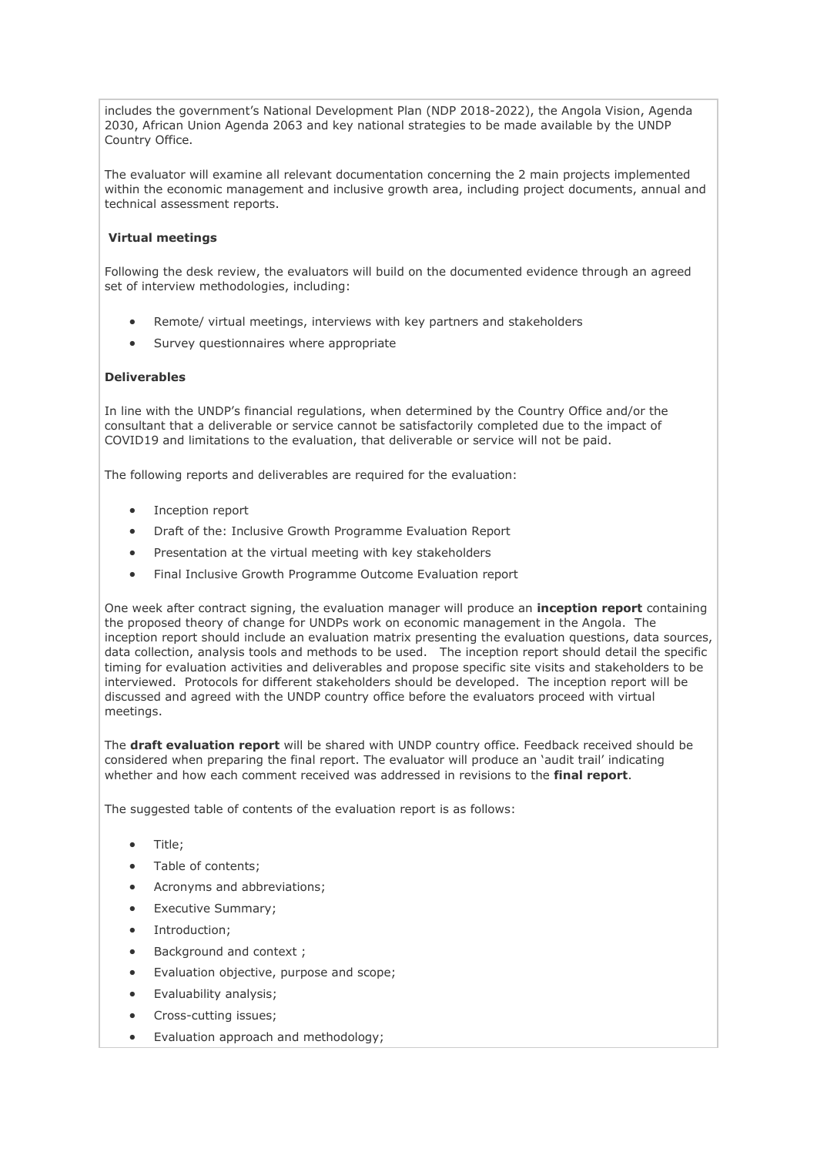includes the government's National Development Plan (NDP 2018-2022), the Angola Vision, Agenda 2030, African Union Agenda 2063 and key national strategies to be made available by the UNDP Country Office.

The evaluator will examine all relevant documentation concerning the 2 main projects implemented within the economic management and inclusive growth area, including project documents, annual and technical assessment reports.

# **Virtual meetings**

Following the desk review, the evaluators will build on the documented evidence through an agreed set of interview methodologies, including:

- Remote/ virtual meetings, interviews with key partners and stakeholders
- Survey questionnaires where appropriate

# **Deliverables**

In line with the UNDP's financial regulations, when determined by the Country Office and/or the consultant that a deliverable or service cannot be satisfactorily completed due to the impact of COVID19 and limitations to the evaluation, that deliverable or service will not be paid.

The following reports and deliverables are required for the evaluation:

- Inception report
- Draft of the: Inclusive Growth Programme Evaluation Report
- Presentation at the virtual meeting with key stakeholders
- Final Inclusive Growth Programme Outcome Evaluation report

One week after contract signing, the evaluation manager will produce an **inception report** containing the proposed theory of change for UNDPs work on economic management in the Angola. The inception report should include an evaluation matrix presenting the evaluation questions, data sources, data collection, analysis tools and methods to be used. The inception report should detail the specific timing for evaluation activities and deliverables and propose specific site visits and stakeholders to be interviewed. Protocols for different stakeholders should be developed. The inception report will be discussed and agreed with the UNDP country office before the evaluators proceed with virtual meetings.

The **draft evaluation report** will be shared with UNDP country office. Feedback received should be considered when preparing the final report. The evaluator will produce an 'audit trail' indicating whether and how each comment received was addressed in revisions to the **final report**.

The suggested table of contents of the evaluation report is as follows:

- Title;
- Table of contents;
- Acronyms and abbreviations;
- Executive Summary;
- Introduction;
- Background and context;
- Evaluation objective, purpose and scope;
- Evaluability analysis;
- Cross-cutting issues;
- Evaluation approach and methodology;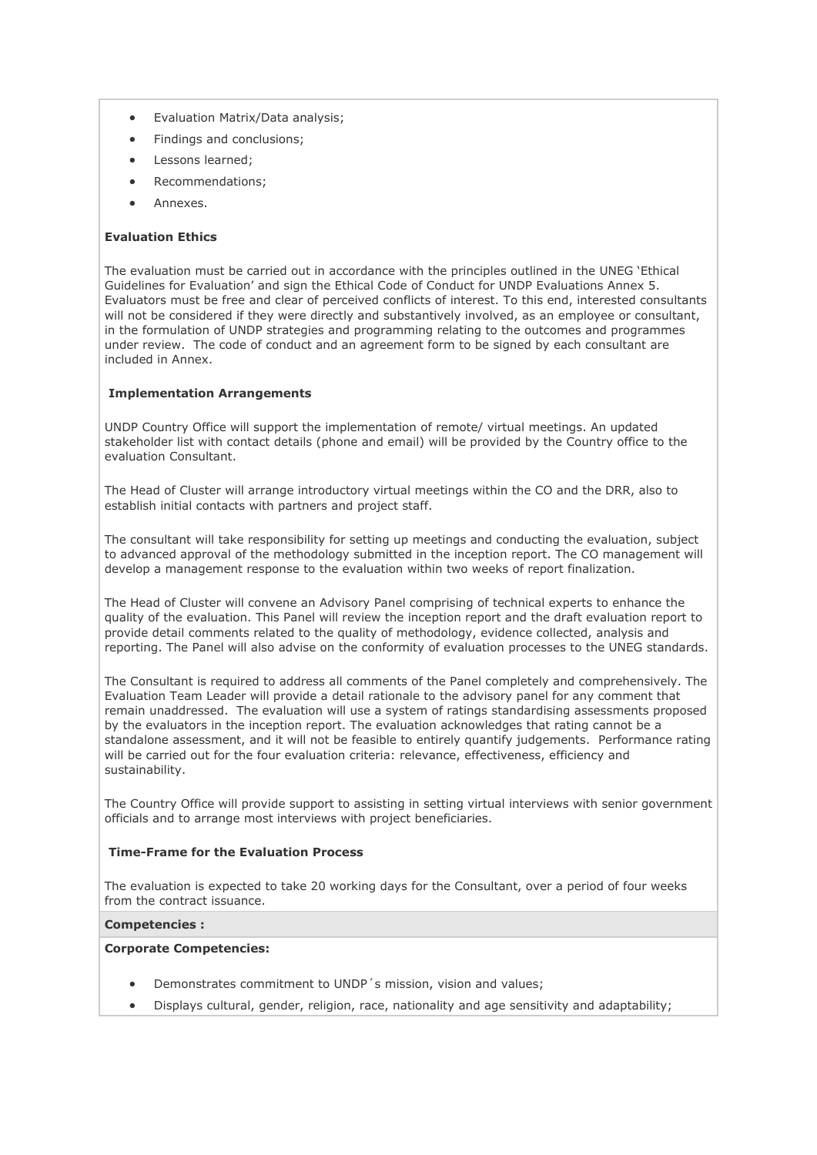- Evaluation Matrix/Data analysis;
- Findings and conclusions;
- Lessons learned;
- Recommendations;
- Annexes.

# **Evaluation Ethics**

The evaluation must be carried out in accordance with the principles outlined in the UNEG 'Ethical Guidelines for Evaluation' and sign the Ethical Code of Conduct for UNDP Evaluations Annex 5. Evaluators must be free and clear of perceived conflicts of interest. To this end, interested consultants will not be considered if they were directly and substantively involved, as an employee or consultant, in the formulation of UNDP strategies and programming relating to the outcomes and programmes under review. The code of conduct and an agreement form to be signed by each consultant are included in Annex.

### **Implementation Arrangements**

UNDP Country Office will support the implementation of remote/ virtual meetings. An updated stakeholder list with contact details (phone and email) will be provided by the Country office to the evaluation Consultant.

The Head of Cluster will arrange introductory virtual meetings within the CO and the DRR, also to establish initial contacts with partners and project staff.

The consultant will take responsibility for setting up meetings and conducting the evaluation, subject to advanced approval of the methodology submitted in the inception report. The CO management will develop a management response to the evaluation within two weeks of report finalization.

The Head of Cluster will convene an Advisory Panel comprising of technical experts to enhance the quality of the evaluation. This Panel will review the inception report and the draft evaluation report to provide detail comments related to the quality of methodology, evidence collected, analysis and reporting. The Panel will also advise on the conformity of evaluation processes to the UNEG standards.

The Consultant is required to address all comments of the Panel completely and comprehensively. The Evaluation Team Leader will provide a detail rationale to the advisory panel for any comment that remain unaddressed. The evaluation will use a system of ratings standardising assessments proposed by the evaluators in the inception report. The evaluation acknowledges that rating cannot be a standalone assessment, and it will not be feasible to entirely quantify judgements. Performance rating will be carried out for the four evaluation criteria: relevance, effectiveness, efficiency and sustainability.

The Country Office will provide support to assisting in setting virtual interviews with senior government officials and to arrange most interviews with project beneficiaries.

## **Time-Frame for the Evaluation Process**

The evaluation is expected to take 20 working days for the Consultant, over a period of four weeks from the contract issuance.

### **Competencies :**

### **Corporate Competencies:**

- Demonstrates commitment to UNDP´s mission, vision and values;
- Displays cultural, gender, religion, race, nationality and age sensitivity and adaptability;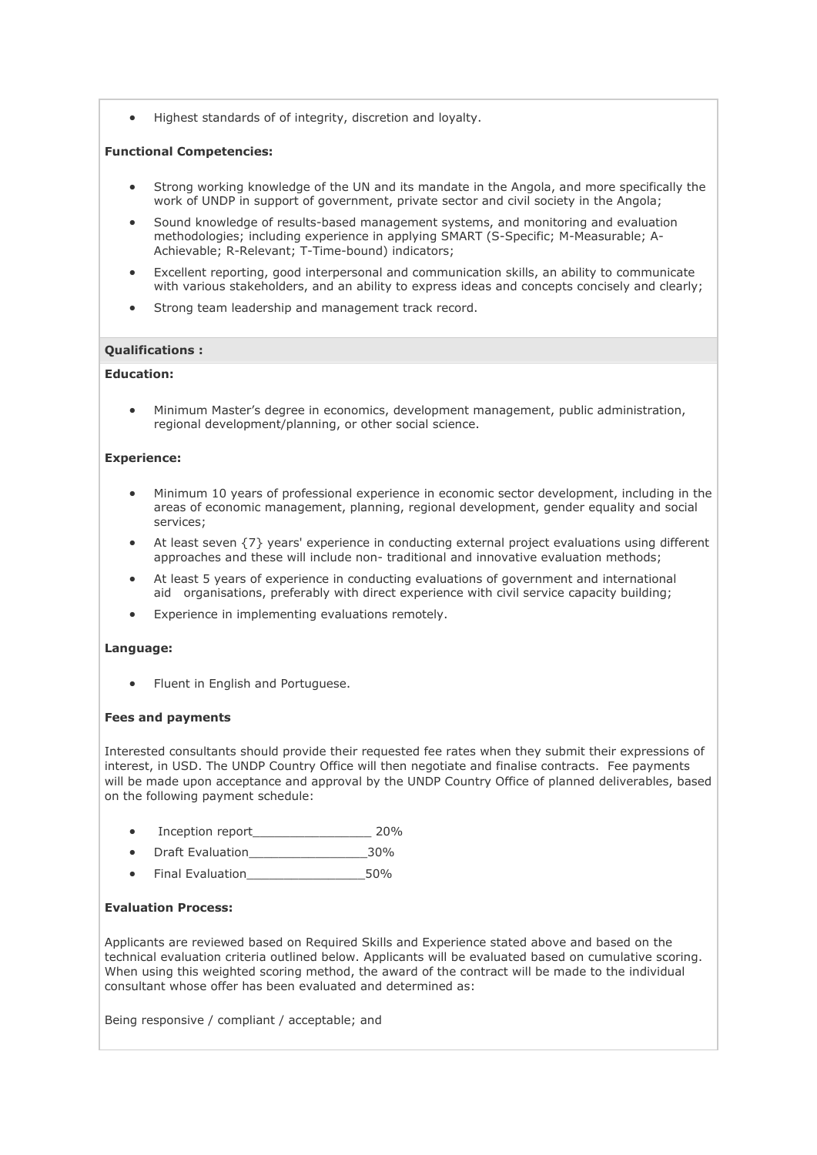• Highest standards of of integrity, discretion and loyalty.

### **Functional Competencies:**

- Strong working knowledge of the UN and its mandate in the Angola, and more specifically the work of UNDP in support of government, private sector and civil society in the Angola;
- Sound knowledge of results-based management systems, and monitoring and evaluation methodologies; including experience in applying SMART (S-Specific; M-Measurable; A-Achievable; R-Relevant; T-Time-bound) indicators;
- Excellent reporting, good interpersonal and communication skills, an ability to communicate with various stakeholders, and an ability to express ideas and concepts concisely and clearly;
- Strong team leadership and management track record.

### **Qualifications :**

# **Education:**

• Minimum Master's degree in economics, development management, public administration, regional development/planning, or other social science.

### **Experience:**

- Minimum 10 years of professional experience in economic sector development, including in the areas of economic management, planning, regional development, gender equality and social services;
- At least seven {7} years' experience in conducting external project evaluations using different approaches and these will include non- traditional and innovative evaluation methods;
- At least 5 years of experience in conducting evaluations of government and international aid organisations, preferably with direct experience with civil service capacity building;
- Experience in implementing evaluations remotely.

### **Language:**

• Fluent in English and Portuguese.

### **Fees and payments**

Interested consultants should provide their requested fee rates when they submit their expressions of interest, in USD. The UNDP Country Office will then negotiate and finalise contracts. Fee payments will be made upon acceptance and approval by the UNDP Country Office of planned deliverables, based on the following payment schedule:

- Inception report and 20%
- Draft Evaluation and the 30%
- Final Evaluation 50%

# **Evaluation Process:**

Applicants are reviewed based on Required Skills and Experience stated above and based on the technical evaluation criteria outlined below. Applicants will be evaluated based on cumulative scoring. When using this weighted scoring method, the award of the contract will be made to the individual consultant whose offer has been evaluated and determined as:

Being responsive / compliant / acceptable; and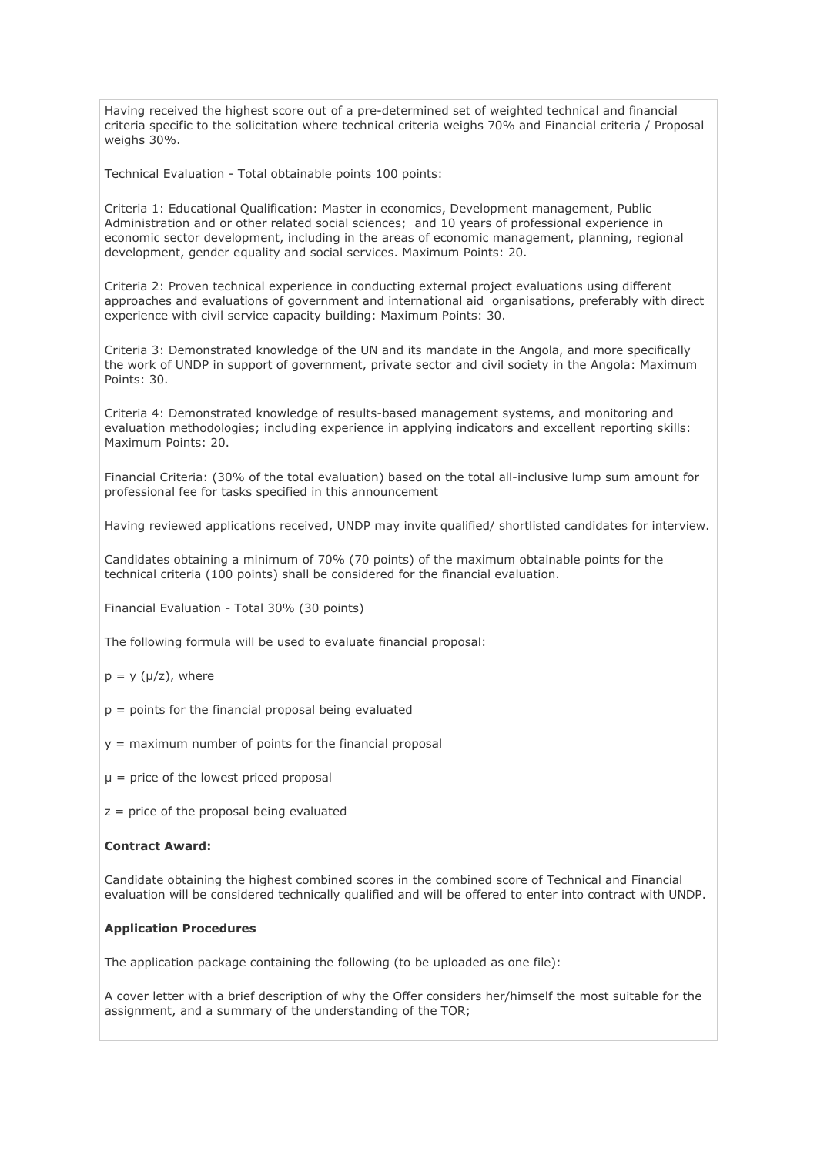Having received the highest score out of a pre-determined set of weighted technical and financial criteria specific to the solicitation where technical criteria weighs 70% and Financial criteria / Proposal weighs 30%.

Technical Evaluation - Total obtainable points 100 points:

Criteria 1: Educational Qualification: Master in economics, Development management, Public Administration and or other related social sciences; and 10 years of professional experience in economic sector development, including in the areas of economic management, planning, regional development, gender equality and social services. Maximum Points: 20.

Criteria 2: Proven technical experience in conducting external project evaluations using different approaches and evaluations of government and international aid organisations, preferably with direct experience with civil service capacity building: Maximum Points: 30.

Criteria 3: Demonstrated knowledge of the UN and its mandate in the Angola, and more specifically the work of UNDP in support of government, private sector and civil society in the Angola: Maximum Points: 30.

Criteria 4: Demonstrated knowledge of results-based management systems, and monitoring and evaluation methodologies; including experience in applying indicators and excellent reporting skills: Maximum Points: 20.

Financial Criteria: (30% of the total evaluation) based on the total all-inclusive lump sum amount for professional fee for tasks specified in this announcement

Having reviewed applications received, UNDP may invite qualified/ shortlisted candidates for interview.

Candidates obtaining a minimum of 70% (70 points) of the maximum obtainable points for the technical criteria (100 points) shall be considered for the financial evaluation.

Financial Evaluation - Total 30% (30 points)

The following formula will be used to evaluate financial proposal:

- $p = y (\mu/z)$ , where
- $p =$  points for the financial proposal being evaluated
- $y =$  maximum number of points for the financial proposal
- $\mu$  = price of the lowest priced proposal
- $z =$  price of the proposal being evaluated

# **Contract Award:**

Candidate obtaining the highest combined scores in the combined score of Technical and Financial evaluation will be considered technically qualified and will be offered to enter into contract with UNDP.

### **Application Procedures**

The application package containing the following (to be uploaded as one file):

A cover letter with a brief description of why the Offer considers her/himself the most suitable for the assignment, and a summary of the understanding of the TOR;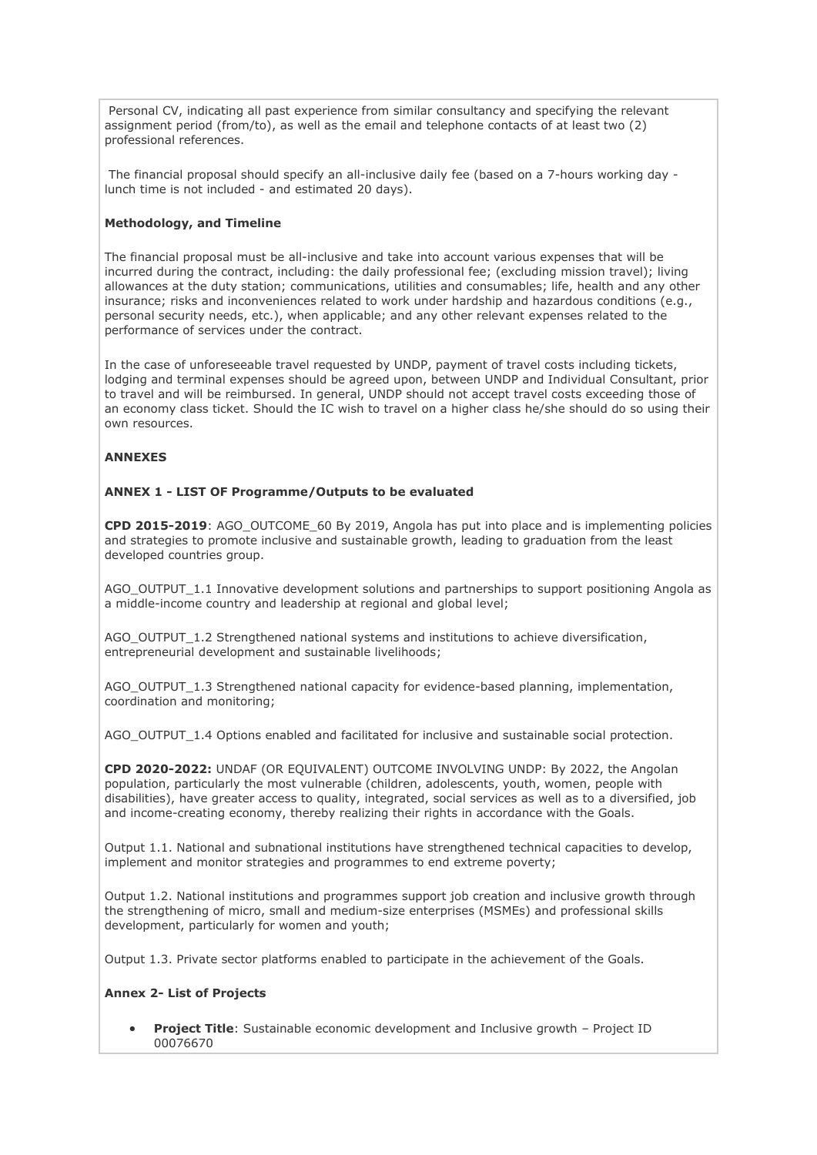Personal CV, indicating all past experience from similar consultancy and specifying the relevant assignment period (from/to), as well as the email and telephone contacts of at least two (2) professional references.

The financial proposal should specify an all-inclusive daily fee (based on a 7-hours working day lunch time is not included - and estimated 20 days).

### **Methodology, and Timeline**

The financial proposal must be all-inclusive and take into account various expenses that will be incurred during the contract, including: the daily professional fee; (excluding mission travel); living allowances at the duty station; communications, utilities and consumables; life, health and any other insurance; risks and inconveniences related to work under hardship and hazardous conditions (e.g., personal security needs, etc.), when applicable; and any other relevant expenses related to the performance of services under the contract.

In the case of unforeseeable travel requested by UNDP, payment of travel costs including tickets, lodging and terminal expenses should be agreed upon, between UNDP and Individual Consultant, prior to travel and will be reimbursed. In general, UNDP should not accept travel costs exceeding those of an economy class ticket. Should the IC wish to travel on a higher class he/she should do so using their own resources.

### **ANNEXES**

# **ANNEX 1 - LIST OF Programme/Outputs to be evaluated**

**CPD 2015-2019**: AGO\_OUTCOME\_60 By 2019, Angola has put into place and is implementing policies and strategies to promote inclusive and sustainable growth, leading to graduation from the least developed countries group.

AGO\_OUTPUT\_1.1 Innovative development solutions and partnerships to support positioning Angola as a middle-income country and leadership at regional and global level;

AGO\_OUTPUT\_1.2 Strengthened national systems and institutions to achieve diversification, entrepreneurial development and sustainable livelihoods;

AGO\_OUTPUT\_1.3 Strengthened national capacity for evidence-based planning, implementation, coordination and monitoring;

AGO\_OUTPUT\_1.4 Options enabled and facilitated for inclusive and sustainable social protection.

**CPD 2020-2022:** UNDAF (OR EQUIVALENT) OUTCOME INVOLVING UNDP: By 2022, the Angolan population, particularly the most vulnerable (children, adolescents, youth, women, people with disabilities), have greater access to quality, integrated, social services as well as to a diversified, job and income-creating economy, thereby realizing their rights in accordance with the Goals.

Output 1.1. National and subnational institutions have strengthened technical capacities to develop, implement and monitor strategies and programmes to end extreme poverty;

Output 1.2. National institutions and programmes support job creation and inclusive growth through the strengthening of micro, small and medium-size enterprises (MSMEs) and professional skills development, particularly for women and youth;

Output 1.3. Private sector platforms enabled to participate in the achievement of the Goals.

# **Annex 2- List of Projects**

• **Project Title**: Sustainable economic development and Inclusive growth – Project ID 00076670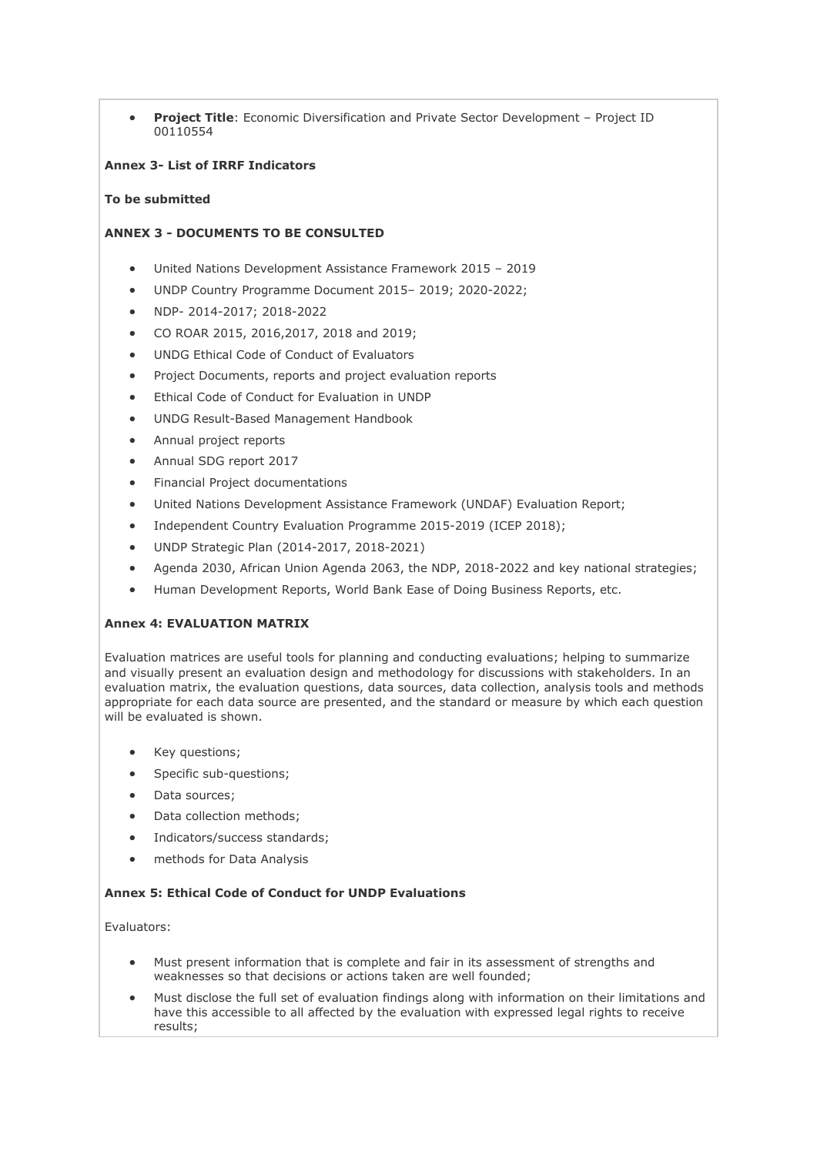• **Project Title**: Economic Diversification and Private Sector Development – Project ID 00110554

### **Annex 3- List of IRRF Indicators**

### **To be submitted**

# **ANNEX 3 - DOCUMENTS TO BE CONSULTED**

- United Nations Development Assistance Framework 2015 2019
- UNDP Country Programme Document 2015– 2019; 2020-2022;
- NDP- 2014-2017; 2018-2022
- CO ROAR 2015, 2016,2017, 2018 and 2019;
- UNDG Ethical Code of Conduct of Evaluators
- Project Documents, reports and project evaluation reports
- Ethical Code of Conduct for Evaluation in UNDP
- UNDG Result-Based Management Handbook
- Annual project reports
- Annual SDG report 2017
- Financial Project documentations
- United Nations Development Assistance Framework (UNDAF) Evaluation Report;
- Independent Country Evaluation Programme 2015-2019 (ICEP 2018);
- UNDP Strategic Plan (2014-2017, 2018-2021)
- Agenda 2030, African Union Agenda 2063, the NDP, 2018-2022 and key national strategies;
- Human Development Reports, World Bank Ease of Doing Business Reports, etc.

### **Annex 4: EVALUATION MATRIX**

Evaluation matrices are useful tools for planning and conducting evaluations; helping to summarize and visually present an evaluation design and methodology for discussions with stakeholders. In an evaluation matrix, the evaluation questions, data sources, data collection, analysis tools and methods appropriate for each data source are presented, and the standard or measure by which each question will be evaluated is shown.

- Key questions;
- Specific sub-questions;
- Data sources;
- Data collection methods;
- Indicators/success standards;
- methods for Data Analysis

### **Annex 5: Ethical Code of Conduct for UNDP Evaluations**

Evaluators:

- Must present information that is complete and fair in its assessment of strengths and weaknesses so that decisions or actions taken are well founded;
- Must disclose the full set of evaluation findings along with information on their limitations and have this accessible to all affected by the evaluation with expressed legal rights to receive results;